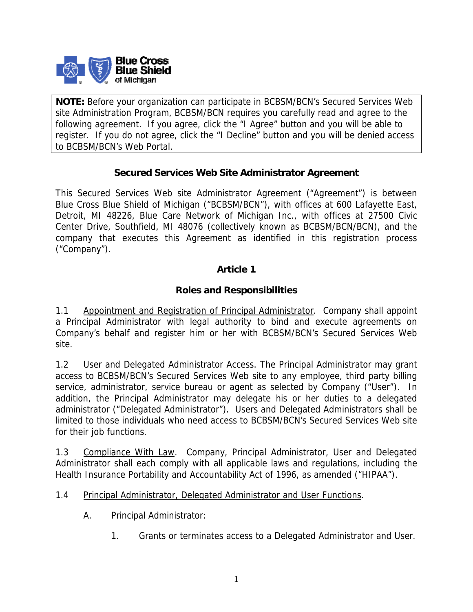

**NOTE:** Before your organization can participate in BCBSM/BCN's Secured Services Web site Administration Program, BCBSM/BCN requires you carefully read and agree to the following agreement. If you agree, click the "I Agree" button and you will be able to register. If you do not agree, click the "I Decline" button and you will be denied access to BCBSM/BCN's Web Portal.

# **Secured Services Web Site Administrator Agreement**

This Secured Services Web site Administrator Agreement ("Agreement") is between Blue Cross Blue Shield of Michigan ("BCBSM/BCN"), with offices at 600 Lafayette East, Detroit, MI 48226, Blue Care Network of Michigan Inc., with offices at 27500 Civic Center Drive, Southfield, MI 48076 (collectively known as BCBSM/BCN/BCN), and the company that executes this Agreement as identified in this registration process ("Company").

# **Article 1**

# **Roles and Responsibilities**

1.1 Appointment and Registration of Principal Administrator. Company shall appoint a Principal Administrator with legal authority to bind and execute agreements on Company's behalf and register him or her with BCBSM/BCN's Secured Services Web site.

1.2 User and Delegated Administrator Access. The Principal Administrator may grant access to BCBSM/BCN's Secured Services Web site to any employee, third party billing service, administrator, service bureau or agent as selected by Company ("User"). In addition, the Principal Administrator may delegate his or her duties to a delegated administrator ("Delegated Administrator"). Users and Delegated Administrators shall be limited to those individuals who need access to BCBSM/BCN's Secured Services Web site for their job functions.

1.3 Compliance With Law. Company, Principal Administrator, User and Delegated Administrator shall each comply with all applicable laws and regulations, including the Health Insurance Portability and Accountability Act of 1996, as amended ("HIPAA").

#### 1.4 Principal Administrator, Delegated Administrator and User Functions.

- A. Principal Administrator:
	- 1. Grants or terminates access to a Delegated Administrator and User.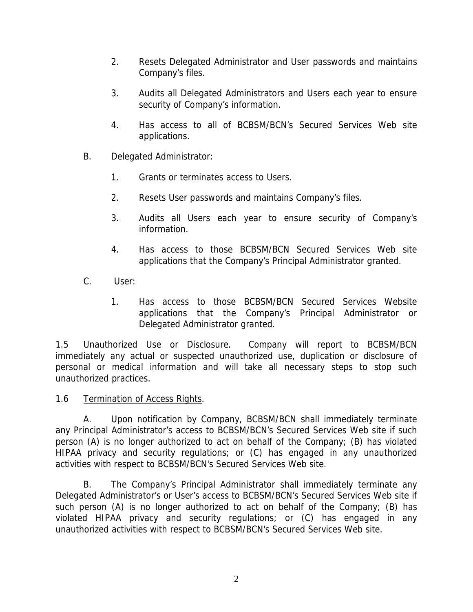- 2. Resets Delegated Administrator and User passwords and maintains Company's files.
- 3. Audits all Delegated Administrators and Users each year to ensure security of Company's information.
- 4. Has access to all of BCBSM/BCN's Secured Services Web site applications.
- B. Delegated Administrator:
	- 1. Grants or terminates access to Users.
	- 2. Resets User passwords and maintains Company's files.
	- 3. Audits all Users each year to ensure security of Company's information.
	- 4. Has access to those BCBSM/BCN Secured Services Web site applications that the Company's Principal Administrator granted.
- C. User:
	- 1. Has access to those BCBSM/BCN Secured Services Website applications that the Company's Principal Administrator or Delegated Administrator granted.

1.5 Unauthorized Use or Disclosure. Company will report to BCBSM/BCN immediately any actual or suspected unauthorized use, duplication or disclosure of personal or medical information and will take all necessary steps to stop such unauthorized practices.

1.6 Termination of Access Rights.

 A. Upon notification by Company, BCBSM/BCN shall immediately terminate any Principal Administrator's access to BCBSM/BCN's Secured Services Web site if such person (A) is no longer authorized to act on behalf of the Company; (B) has violated HIPAA privacy and security regulations; or (C) has engaged in any unauthorized activities with respect to BCBSM/BCN's Secured Services Web site.

 B. The Company's Principal Administrator shall immediately terminate any Delegated Administrator's or User's access to BCBSM/BCN's Secured Services Web site if such person (A) is no longer authorized to act on behalf of the Company; (B) has violated HIPAA privacy and security regulations; or (C) has engaged in any unauthorized activities with respect to BCBSM/BCN's Secured Services Web site.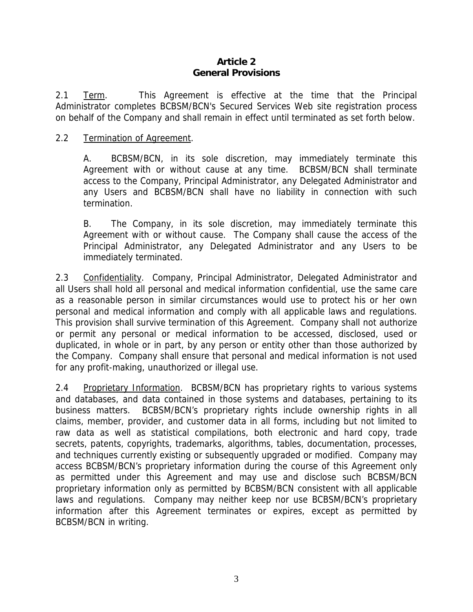### **Article 2 General Provisions**

2.1 Term. This Agreement is effective at the time that the Principal Administrator completes BCBSM/BCN's Secured Services Web site registration process on behalf of the Company and shall remain in effect until terminated as set forth below.

### 2.2 Termination of Agreement.

A. BCBSM/BCN, in its sole discretion, may immediately terminate this Agreement with or without cause at any time. BCBSM/BCN shall terminate access to the Company, Principal Administrator, any Delegated Administrator and any Users and BCBSM/BCN shall have no liability in connection with such termination.

B. The Company, in its sole discretion, may immediately terminate this Agreement with or without cause. The Company shall cause the access of the Principal Administrator, any Delegated Administrator and any Users to be immediately terminated.

2.3 Confidentiality. Company, Principal Administrator, Delegated Administrator and all Users shall hold all personal and medical information confidential, use the same care as a reasonable person in similar circumstances would use to protect his or her own personal and medical information and comply with all applicable laws and regulations. This provision shall survive termination of this Agreement. Company shall not authorize or permit any personal or medical information to be accessed, disclosed, used or duplicated, in whole or in part, by any person or entity other than those authorized by the Company. Company shall ensure that personal and medical information is not used for any profit-making, unauthorized or illegal use.

2.4 Proprietary Information. BCBSM/BCN has proprietary rights to various systems and databases, and data contained in those systems and databases, pertaining to its business matters. BCBSM/BCN's proprietary rights include ownership rights in all claims, member, provider, and customer data in all forms, including but not limited to raw data as well as statistical compilations, both electronic and hard copy, trade secrets, patents, copyrights, trademarks, algorithms, tables, documentation, processes, and techniques currently existing or subsequently upgraded or modified. Company may access BCBSM/BCN's proprietary information during the course of this Agreement only as permitted under this Agreement and may use and disclose such BCBSM/BCN proprietary information only as permitted by BCBSM/BCN consistent with all applicable laws and regulations. Company may neither keep nor use BCBSM/BCN's proprietary information after this Agreement terminates or expires, except as permitted by BCBSM/BCN in writing.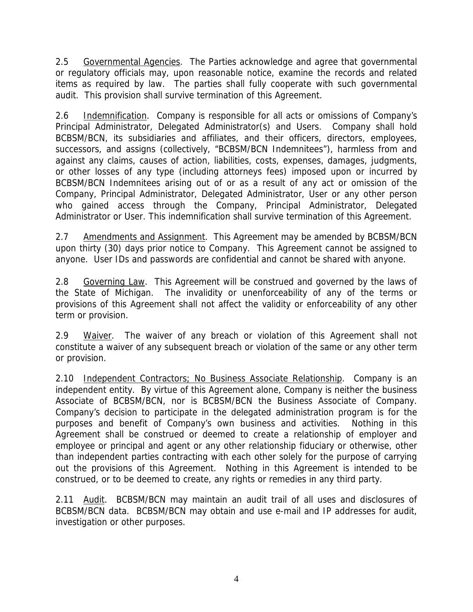2.5 Governmental Agencies. The Parties acknowledge and agree that governmental or regulatory officials may, upon reasonable notice, examine the records and related items as required by law. The parties shall fully cooperate with such governmental audit. This provision shall survive termination of this Agreement.

2.6 Indemnification. Company is responsible for all acts or omissions of Company's Principal Administrator, Delegated Administrator(s) and Users. Company shall hold BCBSM/BCN, its subsidiaries and affiliates, and their officers, directors, employees, successors, and assigns (collectively, "BCBSM/BCN Indemnitees"), harmless from and against any claims, causes of action, liabilities, costs, expenses, damages, judgments, or other losses of any type (including attorneys fees) imposed upon or incurred by BCBSM/BCN Indemnitees arising out of or as a result of any act or omission of the Company, Principal Administrator, Delegated Administrator, User or any other person who gained access through the Company, Principal Administrator, Delegated Administrator or User. This indemnification shall survive termination of this Agreement.

2.7 Amendments and Assignment. This Agreement may be amended by BCBSM/BCN upon thirty (30) days prior notice to Company. This Agreement cannot be assigned to anyone. User IDs and passwords are confidential and cannot be shared with anyone.

2.8 Governing Law. This Agreement will be construed and governed by the laws of the State of Michigan. The invalidity or unenforceability of any of the terms or provisions of this Agreement shall not affect the validity or enforceability of any other term or provision.

2.9 Waiver. The waiver of any breach or violation of this Agreement shall not constitute a waiver of any subsequent breach or violation of the same or any other term or provision.

2.10 Independent Contractors; No Business Associate Relationship. Company is an independent entity. By virtue of this Agreement alone, Company is neither the business Associate of BCBSM/BCN, nor is BCBSM/BCN the Business Associate of Company. Company's decision to participate in the delegated administration program is for the purposes and benefit of Company's own business and activities. Nothing in this Agreement shall be construed or deemed to create a relationship of employer and employee or principal and agent or any other relationship fiduciary or otherwise, other than independent parties contracting with each other solely for the purpose of carrying out the provisions of this Agreement. Nothing in this Agreement is intended to be construed, or to be deemed to create, any rights or remedies in any third party.

2.11 Audit. BCBSM/BCN may maintain an audit trail of all uses and disclosures of BCBSM/BCN data. BCBSM/BCN may obtain and use e-mail and IP addresses for audit, investigation or other purposes.